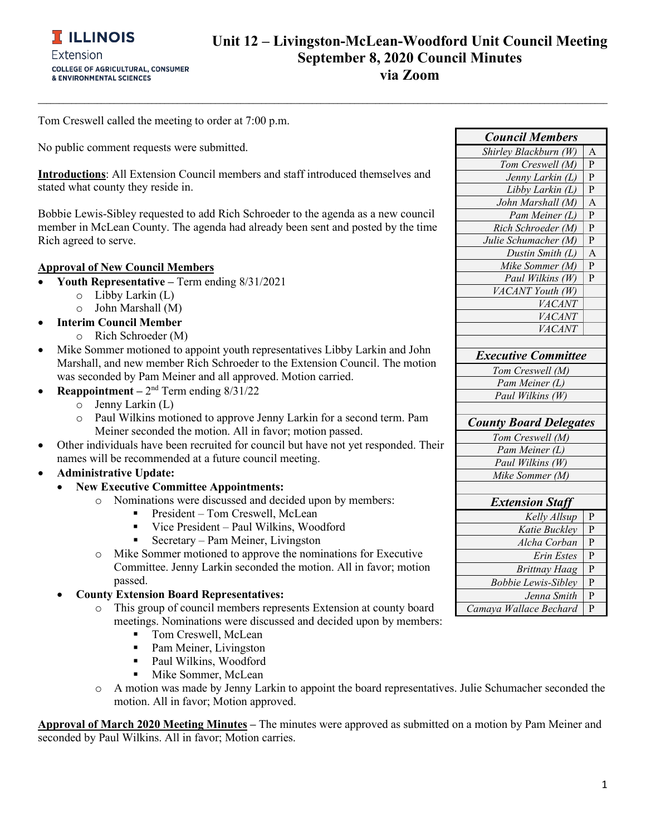**\_\_\_\_\_\_\_\_\_\_\_\_\_\_\_\_\_\_\_\_\_\_\_\_\_\_\_\_\_\_\_\_\_\_\_\_\_\_\_\_\_\_\_\_\_\_\_\_\_\_\_\_\_\_\_\_\_\_\_\_\_\_\_\_\_\_\_\_\_\_\_\_\_\_\_\_\_\_\_\_\_\_\_\_\_\_\_\_\_\_\_\_\_\_\_\_\_\_\_\_\_\_\_\_\_\_\_\_\_\_\_\_\_\_\_\_\_\_\_\_\_\_\_\_\_\_\_\_\_\_\_\_\_\_\_**

Tom Creswell called the meeting to order at 7:00 p.m.

No public comment requests were submitted.

**Introductions**: All Extension Council members and staff introduced themselves and stated what county they reside in.

Bobbie Lewis-Sibley requested to add Rich Schroeder to the agenda as a new council member in McLean County. The agenda had already been sent and posted by the time Rich agreed to serve.

#### **Approval of New Council Members**

- **Youth Representative –** Term ending 8/31/2021
	- o Libby Larkin (L)
	- o John Marshall (M)
- **Interim Council Member**
	- o Rich Schroeder (M)
- Mike Sommer motioned to appoint youth representatives Libby Larkin and John Marshall, and new member Rich Schroeder to the Extension Council. The motion was seconded by Pam Meiner and all approved. Motion carried.
- **Reappointment –** 2nd Term ending 8/31/22
	- $\circ$  Jenny Larkin (L)<br> $\circ$  Paul Wilkins mot
	- Paul Wilkins motioned to approve Jenny Larkin for a second term. Pam Meiner seconded the motion. All in favor; motion passed.
- Other individuals have been recruited for council but have not yet responded. Their names will be recommended at a future council meeting.
- **Administrative Update:**
	- **New Executive Committee Appointments:**
		- o Nominations were discussed and decided upon by members:
			- President Tom Creswell, McLean
			- Vice President Paul Wilkins, Woodford
			- Secretary Pam Meiner, Livingston
		- o Mike Sommer motioned to approve the nominations for Executive Committee. Jenny Larkin seconded the motion. All in favor; motion passed.
	- **County Extension Board Representatives:**
		- o This group of council members represents Extension at county board meetings. Nominations were discussed and decided upon by members:
			- Tom Creswell, McLean
			- Pam Meiner, Livingston
			- Paul Wilkins, Woodford
			- Mike Sommer, McLean
		- o A motion was made by Jenny Larkin to appoint the board representatives. Julie Schumacher seconded the motion. All in favor; Motion approved.

**Approval of March 2020 Meeting Minutes –** The minutes were approved as submitted on a motion by Pam Meiner and seconded by Paul Wilkins. All in favor; Motion carries.

| <b>Council Members</b>        |                |
|-------------------------------|----------------|
| Shirley Blackburn (W)         | Α              |
| Tom Creswell (M)              | $\overline{P}$ |
| Jenny Larkin (L)              | P              |
| Libby Larkin (L)              | P              |
| John Marshall (M)             | A              |
| Pam Meiner (L)                | P              |
| Rich Schroeder (M)            | P              |
| Julie Schumacher (M)          | P              |
| Dustin Smith (L)              | A              |
| Mike Sommer (M)               | P              |
| Paul Wilkins (W)              | P              |
| VACANT Youth (W)              |                |
| VACANT                        |                |
| VACANT                        |                |
| VACANT                        |                |
|                               |                |
| <b>Executive Committee</b>    |                |
| Tom Creswell (M)              |                |
| Pam Meiner (L)                |                |
| Paul Wilkins (W)              |                |
|                               |                |
| <b>County Board Delegates</b> |                |
| Tom Creswell (M)              |                |
| Pam Meiner (L)                |                |
| Paul Wilkins (W)              |                |
| Mike Sommer (M)               |                |
|                               |                |
| <b>Extension Staff</b>        |                |
| Kelly Allsup                  | P              |
| Katie Buckley                 | P              |
| Alcha Corban                  | P              |
| Erin Estes                    | $\mathbf P$    |
| <b>Brittnay Haag</b>          | $\mathbf P$    |
| <b>Bobbie Lewis-Sibley</b>    | P              |
| Jenna Smith                   | $\mathbf P$    |
| Camava Wallace Bechard        | P              |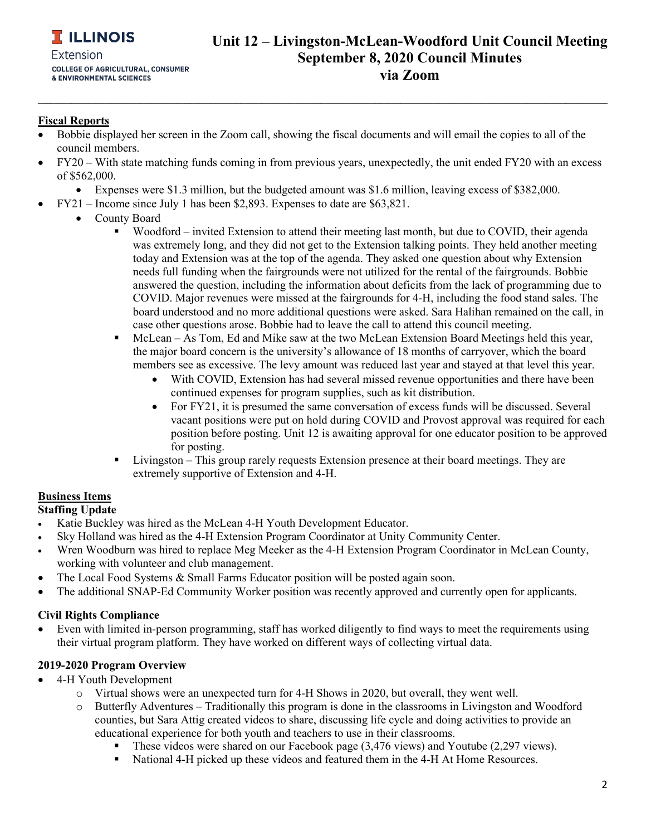## **Unit 12 – Livingston-McLean-Woodford Unit Council Meeting September 8, 2020 Council Minutes via Zoom**

### **Fiscal Reports**

- Bobbie displayed her screen in the Zoom call, showing the fiscal documents and will email the copies to all of the council members.
- FY20 With state matching funds coming in from previous years, unexpectedly, the unit ended FY20 with an excess of \$562,000.

**\_\_\_\_\_\_\_\_\_\_\_\_\_\_\_\_\_\_\_\_\_\_\_\_\_\_\_\_\_\_\_\_\_\_\_\_\_\_\_\_\_\_\_\_\_\_\_\_\_\_\_\_\_\_\_\_\_\_\_\_\_\_\_\_\_\_\_\_\_\_\_\_\_\_\_\_\_\_\_\_\_\_\_\_\_\_\_\_\_\_\_\_\_\_\_\_\_\_\_\_\_\_\_\_\_\_\_\_\_\_\_\_\_\_\_\_\_\_\_\_\_\_\_\_\_\_\_\_\_\_\_\_\_\_\_**

- Expenses were \$1.3 million, but the budgeted amount was \$1.6 million, leaving excess of \$382,000.
- FY21 Income since July 1 has been \$2,893. Expenses to date are \$63,821.
	- County Board
		- Woodford invited Extension to attend their meeting last month, but due to COVID, their agenda was extremely long, and they did not get to the Extension talking points. They held another meeting today and Extension was at the top of the agenda. They asked one question about why Extension needs full funding when the fairgrounds were not utilized for the rental of the fairgrounds. Bobbie answered the question, including the information about deficits from the lack of programming due to COVID. Major revenues were missed at the fairgrounds for 4-H, including the food stand sales. The board understood and no more additional questions were asked. Sara Halihan remained on the call, in case other questions arose. Bobbie had to leave the call to attend this council meeting.
		- McLean As Tom, Ed and Mike saw at the two McLean Extension Board Meetings held this year, the major board concern is the university's allowance of 18 months of carryover, which the board members see as excessive. The levy amount was reduced last year and stayed at that level this year.
			- With COVID, Extension has had several missed revenue opportunities and there have been continued expenses for program supplies, such as kit distribution.
			- For FY21, it is presumed the same conversation of excess funds will be discussed. Several vacant positions were put on hold during COVID and Provost approval was required for each position before posting. Unit 12 is awaiting approval for one educator position to be approved for posting.
		- Livingston This group rarely requests Extension presence at their board meetings. They are extremely supportive of Extension and 4-H.

### **Business Items**

**Staffing Update**

- Katie Buckley was hired as the McLean 4-H Youth Development Educator.
- Sky Holland was hired as the 4-H Extension Program Coordinator at Unity Community Center.
- Wren Woodburn was hired to replace Meg Meeker as the 4-H Extension Program Coordinator in McLean County, working with volunteer and club management.
- The Local Food Systems & Small Farms Educator position will be posted again soon.
- The additional SNAP-Ed Community Worker position was recently approved and currently open for applicants.

### **Civil Rights Compliance**

• Even with limited in-person programming, staff has worked diligently to find ways to meet the requirements using their virtual program platform. They have worked on different ways of collecting virtual data.

### **2019-2020 Program Overview**

- 4-H Youth Development
	- o Virtual shows were an unexpected turn for 4-H Shows in 2020, but overall, they went well.
		- Butterfly Adventures Traditionally this program is done in the classrooms in Livingston and Woodford counties, but Sara Attig created videos to share, discussing life cycle and doing activities to provide an educational experience for both youth and teachers to use in their classrooms.
			- These videos were shared on our Facebook page (3,476 views) and Youtube (2,297 views).
			- National 4-H picked up these videos and featured them in the 4-H At Home Resources.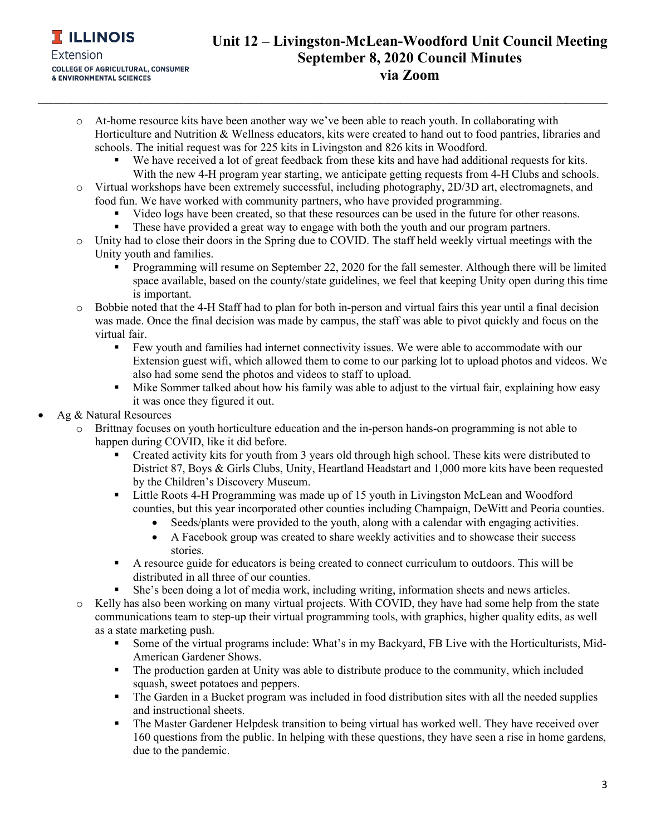# **Unit 12 – Livingston-McLean-Woodford Unit Council Meeting September 8, 2020 Council Minutes via Zoom**

o At-home resource kits have been another way we've been able to reach youth. In collaborating with Horticulture and Nutrition & Wellness educators, kits were created to hand out to food pantries, libraries and schools. The initial request was for 225 kits in Livingston and 826 kits in Woodford.

**\_\_\_\_\_\_\_\_\_\_\_\_\_\_\_\_\_\_\_\_\_\_\_\_\_\_\_\_\_\_\_\_\_\_\_\_\_\_\_\_\_\_\_\_\_\_\_\_\_\_\_\_\_\_\_\_\_\_\_\_\_\_\_\_\_\_\_\_\_\_\_\_\_\_\_\_\_\_\_\_\_\_\_\_\_\_\_\_\_\_\_\_\_\_\_\_\_\_\_\_\_\_\_\_\_\_\_\_\_\_\_\_\_\_\_\_\_\_\_\_\_\_\_\_\_\_\_\_\_\_\_\_\_\_\_**

- We have received a lot of great feedback from these kits and have had additional requests for kits. With the new 4-H program year starting, we anticipate getting requests from 4-H Clubs and schools.
- o Virtual workshops have been extremely successful, including photography, 2D/3D art, electromagnets, and food fun. We have worked with community partners, who have provided programming.
	- Video logs have been created, so that these resources can be used in the future for other reasons.
	- These have provided a great way to engage with both the youth and our program partners.
- o Unity had to close their doors in the Spring due to COVID. The staff held weekly virtual meetings with the Unity youth and families.
	- Programming will resume on September 22, 2020 for the fall semester. Although there will be limited space available, based on the county/state guidelines, we feel that keeping Unity open during this time is important.
- o Bobbie noted that the 4-H Staff had to plan for both in-person and virtual fairs this year until a final decision was made. Once the final decision was made by campus, the staff was able to pivot quickly and focus on the virtual fair.
	- Few youth and families had internet connectivity issues. We were able to accommodate with our Extension guest wifi, which allowed them to come to our parking lot to upload photos and videos. We also had some send the photos and videos to staff to upload.
	- Mike Sommer talked about how his family was able to adjust to the virtual fair, explaining how easy it was once they figured it out.
- Ag & Natural Resources
	- o Brittnay focuses on youth horticulture education and the in-person hands-on programming is not able to happen during COVID, like it did before.
		- Created activity kits for youth from 3 years old through high school. These kits were distributed to District 87, Boys & Girls Clubs, Unity, Heartland Headstart and 1,000 more kits have been requested by the Children's Discovery Museum.
		- Little Roots 4-H Programming was made up of 15 youth in Livingston McLean and Woodford counties, but this year incorporated other counties including Champaign, DeWitt and Peoria counties.
			- Seeds/plants were provided to the youth, along with a calendar with engaging activities.
			- A Facebook group was created to share weekly activities and to showcase their success stories.
		- A resource guide for educators is being created to connect curriculum to outdoors. This will be distributed in all three of our counties.
		- She's been doing a lot of media work, including writing, information sheets and news articles.
	- o Kelly has also been working on many virtual projects. With COVID, they have had some help from the state communications team to step-up their virtual programming tools, with graphics, higher quality edits, as well as a state marketing push.
		- Some of the virtual programs include: What's in my Backyard, FB Live with the Horticulturists, Mid-American Gardener Shows.
		- The production garden at Unity was able to distribute produce to the community, which included squash, sweet potatoes and peppers.
		- The Garden in a Bucket program was included in food distribution sites with all the needed supplies and instructional sheets.
		- The Master Gardener Helpdesk transition to being virtual has worked well. They have received over 160 questions from the public. In helping with these questions, they have seen a rise in home gardens, due to the pandemic.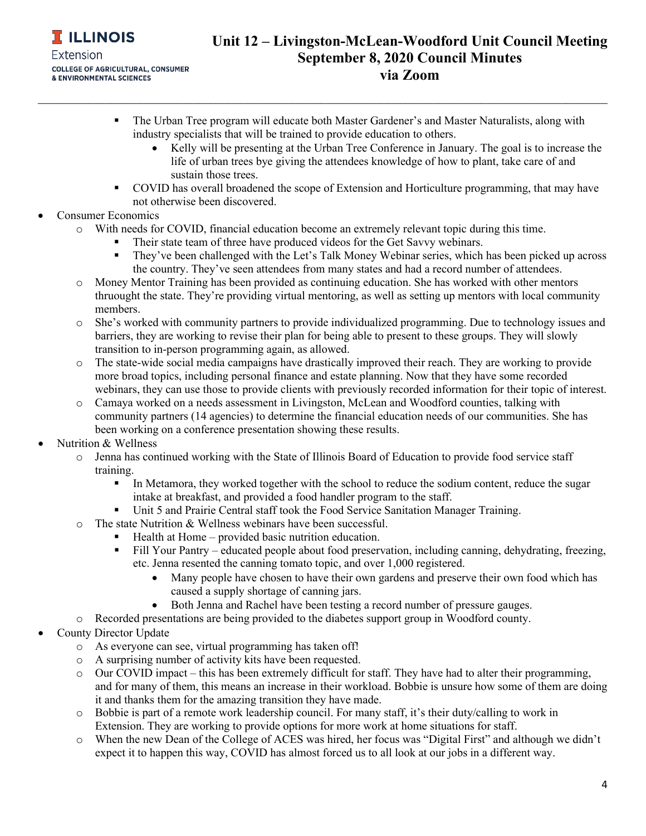

# **Unit 12 – Livingston-McLean-Woodford Unit Council Meeting September 8, 2020 Council Minutes via Zoom**

**The Urban Tree program will educate both Master Gardener's and Master Naturalists, along with** industry specialists that will be trained to provide education to others.

**\_\_\_\_\_\_\_\_\_\_\_\_\_\_\_\_\_\_\_\_\_\_\_\_\_\_\_\_\_\_\_\_\_\_\_\_\_\_\_\_\_\_\_\_\_\_\_\_\_\_\_\_\_\_\_\_\_\_\_\_\_\_\_\_\_\_\_\_\_\_\_\_\_\_\_\_\_\_\_\_\_\_\_\_\_\_\_\_\_\_\_\_\_\_\_\_\_\_\_\_\_\_\_\_\_\_\_\_\_\_\_\_\_\_\_\_\_\_\_\_\_\_\_\_\_\_\_\_\_\_\_\_\_\_\_**

- Kelly will be presenting at the Urban Tree Conference in January. The goal is to increase the life of urban trees bye giving the attendees knowledge of how to plant, take care of and sustain those trees.
- COVID has overall broadened the scope of Extension and Horticulture programming, that may have not otherwise been discovered.
- Consumer Economics
	- o With needs for COVID, financial education become an extremely relevant topic during this time.
		- Their state team of three have produced videos for the Get Savvy webinars.
		- They've been challenged with the Let's Talk Money Webinar series, which has been picked up across the country. They've seen attendees from many states and had a record number of attendees.
	- o Money Mentor Training has been provided as continuing education. She has worked with other mentors thruought the state. They're providing virtual mentoring, as well as setting up mentors with local community members.
	- o She's worked with community partners to provide individualized programming. Due to technology issues and barriers, they are working to revise their plan for being able to present to these groups. They will slowly transition to in-person programming again, as allowed.
	- o The state-wide social media campaigns have drastically improved their reach. They are working to provide more broad topics, including personal finance and estate planning. Now that they have some recorded webinars, they can use those to provide clients with previously recorded information for their topic of interest.
	- o Camaya worked on a needs assessment in Livingston, McLean and Woodford counties, talking with community partners (14 agencies) to determine the financial education needs of our communities. She has been working on a conference presentation showing these results.
- Nutrition & Wellness
	- o Jenna has continued working with the State of Illinois Board of Education to provide food service staff training.
		- In Metamora, they worked together with the school to reduce the sodium content, reduce the sugar intake at breakfast, and provided a food handler program to the staff.
		- Unit 5 and Prairie Central staff took the Food Service Sanitation Manager Training.
	- o The state Nutrition & Wellness webinars have been successful.
		- $\blacksquare$  Health at Home provided basic nutrition education.
		- Fill Your Pantry educated people about food preservation, including canning, dehydrating, freezing, etc. Jenna resented the canning tomato topic, and over 1,000 registered.
			- Many people have chosen to have their own gardens and preserve their own food which has caused a supply shortage of canning jars.
			- Both Jenna and Rachel have been testing a record number of pressure gauges.
	- o Recorded presentations are being provided to the diabetes support group in Woodford county.
- County Director Update
	- o As everyone can see, virtual programming has taken off!
	- o A surprising number of activity kits have been requested.
	- o Our COVID impact this has been extremely difficult for staff. They have had to alter their programming, and for many of them, this means an increase in their workload. Bobbie is unsure how some of them are doing it and thanks them for the amazing transition they have made.
	- o Bobbie is part of a remote work leadership council. For many staff, it's their duty/calling to work in Extension. They are working to provide options for more work at home situations for staff.
	- o When the new Dean of the College of ACES was hired, her focus was "Digital First" and although we didn't expect it to happen this way, COVID has almost forced us to all look at our jobs in a different way.